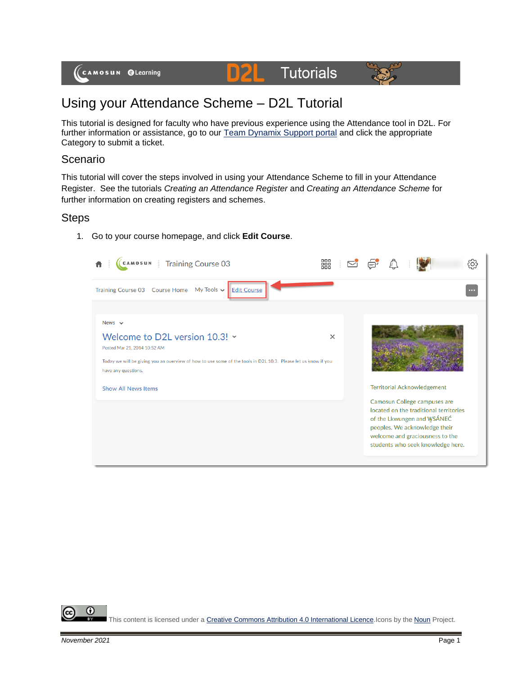

#### D2L **Tutorials**



# Using your Attendance Scheme – D2L Tutorial

This tutorial is designed for faculty who have previous experience using the Attendance tool in D2L. For further information or assistance, go to our **Team Dynamix Support portal** and click the appropriate Category to submit a ticket.

### Scenario

This tutorial will cover the steps involved in using your Attendance Scheme to fill in your Attendance Register. See the tutorials *Creating an Attendance Register* and *Creating an Attendance Scheme* for further information on creating registers and schemes.

## Steps

1. Go to your course homepage, and click **Edit Course**.



⋒ This content is licensed under [a Creative Commons Attribution 4.0 International Licence.I](https://creativecommons.org/licenses/by/4.0/)cons by the [Noun](https://creativecommons.org/website-icons/) Project.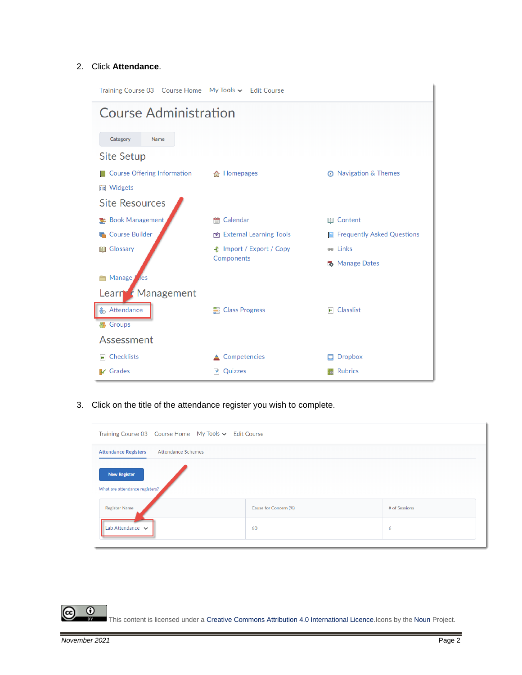#### 2. Click **Attendance**.

| Training Course 03    Course Home    My Tools v    Edit Course |                                 |                                     |
|----------------------------------------------------------------|---------------------------------|-------------------------------------|
| <b>Course Administration</b>                                   |                                 |                                     |
| Category<br><b>Name</b>                                        |                                 |                                     |
|                                                                |                                 |                                     |
| <b>Site Setup</b>                                              |                                 |                                     |
| <b>Course Offering Information</b>                             | 合 Homepages                     | ◎ Navigation & Themes               |
| <b>■ Widgets</b>                                               |                                 |                                     |
| <b>Site Resources</b>                                          |                                 |                                     |
| <b>E</b> Book Management                                       | Calendar<br>m                   | <b>III</b> Content                  |
| <b>Course Builder</b>                                          | <b>External Learning Tools</b>  | <b>R</b> Frequently Asked Questions |
| Glossary<br>目                                                  | <b>全</b> Import / Export / Copy | <b>BB</b> Links                     |
|                                                                | Components                      | <b>B</b> Manage Dates               |
| Manage<br><b>l</b> les                                         |                                 |                                     |
| Learn & Management                                             |                                 |                                     |
| <b>&amp;</b> Attendance                                        | <b>E</b> Class Progress         | E Classlist                         |
| <b>等 Groups</b>                                                |                                 |                                     |
| Assessment                                                     |                                 |                                     |
| Checklists<br>le.                                              | Competencies                    | <b>Dropbox</b>                      |
| <b>IV</b> Grades                                               | Quizzes<br>m                    | <b>Rubrics</b>                      |

3. Click on the title of the attendance register you wish to complete.

| Training Course 03 Course Home My Tools v Edit Course |                       |               |
|-------------------------------------------------------|-----------------------|---------------|
| Attendance Schemes<br><b>Attendance Registers</b>     |                       |               |
| <b>New Register</b><br>What are attendance registers? |                       |               |
| <b>Register Name</b>                                  | Cause for Concern (%) | # of Sessions |
| Lab Attendance v                                      | 60                    | 6             |

 $\overline{0}$ ල This content is licensed under [a Creative Commons Attribution 4.0 International Licence.I](https://creativecommons.org/licenses/by/4.0/)cons by the [Noun](https://creativecommons.org/website-icons/) Project.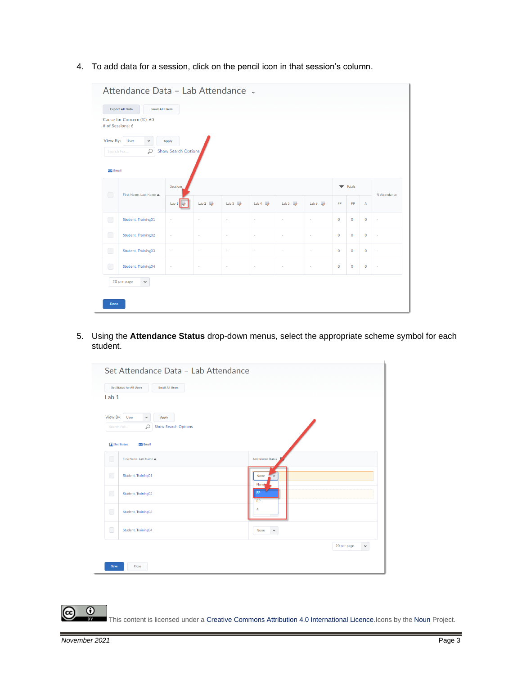4. To add data for a session, click on the pencil icon in that session's column.

| <b>Export All Data</b><br><b>Email All Users</b><br>Cause for Concern (%): 60       |                              |              |                      |                            |                               |                             |              |              |                |                          |  |
|-------------------------------------------------------------------------------------|------------------------------|--------------|----------------------|----------------------------|-------------------------------|-----------------------------|--------------|--------------|----------------|--------------------------|--|
| # of Sessions: 6<br>View By: User<br>$\check{~}$<br>Q<br>Search For<br>$\sum$ Email | Apply<br>Show Search Options |              |                      |                            |                               |                             |              |              |                |                          |  |
| $\Box$<br>First Name, Last Name <                                                   | Sessions                     |              |                      |                            |                               | $\blacktriangledown$ Totals |              |              | % Attendance   |                          |  |
|                                                                                     | Lab $1$                      | Lab $2 \Box$ | Lab $3 \overline{3}$ | Lab $4 \quad \blacksquare$ | Lab 5 $\overline{\mathbb{R}}$ | Lab $6$                     | FP.          | PP           | A              |                          |  |
| $\Box$<br>Student, Training01                                                       | $\overline{\phantom{a}}$     | ×.           | $\sim$               | $\bar{a}$                  | $\bar{a}$                     | $\sim$                      | $\mathbf{O}$ | $\mathbf{O}$ | $\mathbf{O}$   | $\overline{\phantom{a}}$ |  |
| $\Box$<br>Student, Training02                                                       | $\sim$                       | ×.           | $\sim$               | $\bar{a}$                  | $\bar{a}$                     | $\sim$                      | $\circ$      | $\circ$      | $\mathbf{O}$   | $\bar{a}$                |  |
| $\Box$<br>Student, Training03                                                       | $\sim$                       | $\sim$       | $\sim$               | $\sim$                     | $\bar{a}$                     | $\sim$                      | $\circ$      | $\circ$      | 0              | $\sim$                   |  |
| $\Box$<br>Student, Training04                                                       | $\sim$                       | $\sim$       | $\sim$               | $\bar{a}$                  | $\bar{a}$                     | $\sim$                      | $\circ$      | $\circ$      | $\overline{0}$ | $\overline{a}$           |  |
| 20 per page<br>$\checkmark$                                                         |                              |              |                      |                            |                               |                             |              |              |                |                          |  |

5. Using the **Attendance Status** drop-down menus, select the appropriate scheme symbol for each student.

| <b>Set Status for All Users</b>                                                          | <b>Email All Users</b>     |                          |                             |
|------------------------------------------------------------------------------------------|----------------------------|--------------------------|-----------------------------|
| Lab <sub>1</sub><br>View By:<br>User<br>$\checkmark$<br>Apply<br>$\varphi$<br>Search For | <b>Show Search Options</b> |                          |                             |
| Set Status<br>$\sum$ Email<br>$\Box$<br>First Name, Last Name <                          |                            | <b>Attendance Status</b> |                             |
| $\Box$<br>Student, Training01                                                            |                            | None<br>None             |                             |
| $\Box$<br>Student, Training02                                                            |                            | <b>FP</b><br>PP          |                             |
| $\Box$<br>Student, Training03                                                            |                            | Α                        |                             |
| $\Box$<br>Student, Training04                                                            |                            | None<br>$\checkmark$     |                             |
|                                                                                          |                            |                          | 20 per page<br>$\checkmark$ |

This content is licensed under [a Creative Commons Attribution 4.0 International Licence.I](https://creativecommons.org/licenses/by/4.0/)cons by the [Noun](https://creativecommons.org/website-icons/) Project.

 $\overline{\odot}$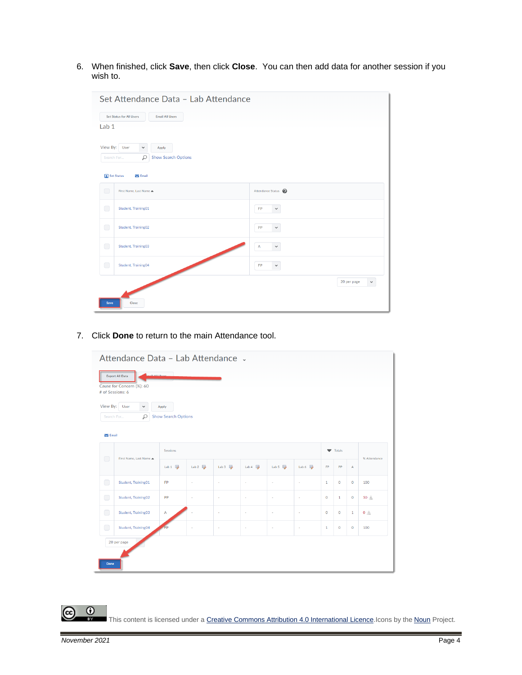6. When finished, click **Save**, then click **Close**. You can then add data for another session if you wish to.



7. Click **Done** to return to the main Attendance tool.

|              | Cause for Concern (%): 60<br># of Sessions: 6            |                                     |                     |                     |                                 |                               |        |              |              |                |              |
|--------------|----------------------------------------------------------|-------------------------------------|---------------------|---------------------|---------------------------------|-------------------------------|--------|--------------|--------------|----------------|--------------|
|              | View By: User<br>$\checkmark$<br>$\varphi$<br>Search For | Apply<br><b>Show Search Options</b> |                     |                     |                                 |                               |        |              |              |                |              |
| $\sum$ Email |                                                          |                                     |                     |                     |                                 |                               |        |              |              |                |              |
|              |                                                          | <b>Sessions</b>                     |                     |                     |                                 |                               |        | Totals       |              |                |              |
| $\Box$       | First Name, Last Name                                    | Lab $1$ $\overline{\mathbb{R}}$     | Lab $2 \frac{1}{2}$ | Lab $3 \frac{1}{2}$ | Lab $4 \ \overline{\mathbb{R}}$ | Lab 5 $\overline{\mathbb{D}}$ | Lab 6  | <b>FP</b>    | PP           | $\overline{A}$ | % Attendance |
| $\Box$       | Student, Training01                                      | FP                                  | $\sim$              | ×                   | $\sim$                          | $\sim$                        | $\sim$ | $\mathbf 1$  | $\mathbf 0$  | $\mathbf 0$    | 100          |
| $\Box$       | Student, Training02                                      | PP                                  | ×,                  | $\sim$              | $\sim$                          | ×                             | $\sim$ | $\circ$      | $\mathbf{1}$ | $\mathbf{O}$   | 50 A         |
| $\Box$       | Student, Training03                                      | A                                   |                     | ٠                   | $\sim$                          | $\sim$                        | ×      | $\mathbf 0$  | $\mathbf 0$  | $\mathbf{1}$   | $0 \wedge$   |
| $\Box$       | Student, Training04                                      | ED                                  | i,                  | ×                   | $\sim$                          | $\sim$                        | ×      | $\mathbf{1}$ | $\circ$      | $\mathbf 0$    | 100          |
|              | 20 per page                                              |                                     |                     |                     |                                 |                               |        |              |              |                |              |

This content is licensed under [a Creative Commons Attribution 4.0 International Licence.I](https://creativecommons.org/licenses/by/4.0/)cons by the [Noun](https://creativecommons.org/website-icons/) Project.

 $\overline{0}$ 

(cc